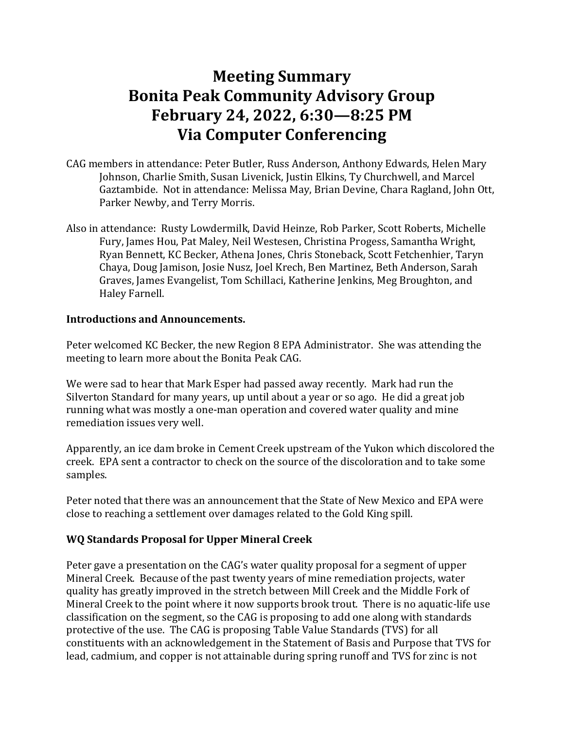# **Meeting Summary Bonita Peak Community Advisory Group February 24, 2022, 6:30—8:25 PM Via Computer Conferencing**

- CAG members in attendance: Peter Butler, Russ Anderson, Anthony Edwards, Helen Mary Johnson, Charlie Smith, Susan Livenick, Justin Elkins, Ty Churchwell, and Marcel Gaztambide. Not in attendance: Melissa May, Brian Devine, Chara Ragland, John Ott, Parker Newby, and Terry Morris.
- Also in attendance: Rusty Lowdermilk, David Heinze, Rob Parker, Scott Roberts, Michelle Fury, James Hou, Pat Maley, Neil Westesen, Christina Progess, Samantha Wright, Ryan Bennett, KC Becker, Athena Jones, Chris Stoneback, Scott Fetchenhier, Taryn Chaya, Doug Jamison, Josie Nusz, Joel Krech, Ben Martinez, Beth Anderson, Sarah Graves, James Evangelist, Tom Schillaci, Katherine Jenkins, Meg Broughton, and Haley Farnell.

## **Introductions and Announcements.**

Peter welcomed KC Becker, the new Region 8 EPA Administrator. She was attending the meeting to learn more about the Bonita Peak CAG.

We were sad to hear that Mark Esper had passed away recently. Mark had run the Silverton Standard for many years, up until about a year or so ago. He did a great job running what was mostly a one-man operation and covered water quality and mine remediation issues very well.

Apparently, an ice dam broke in Cement Creek upstream of the Yukon which discolored the creek. EPA sent a contractor to check on the source of the discoloration and to take some samples.

Peter noted that there was an announcement that the State of New Mexico and EPA were close to reaching a settlement over damages related to the Gold King spill.

## **WQ Standards Proposal for Upper Mineral Creek**

Peter gave a presentation on the CAG's water quality proposal for a segment of upper Mineral Creek. Because of the past twenty years of mine remediation projects, water quality has greatly improved in the stretch between Mill Creek and the Middle Fork of Mineral Creek to the point where it now supports brook trout. There is no aquatic-life use classification on the segment, so the CAG is proposing to add one along with standards protective of the use. The CAG is proposing Table Value Standards (TVS) for all constituents with an acknowledgement in the Statement of Basis and Purpose that TVS for lead, cadmium, and copper is not attainable during spring runoff and TVS for zinc is not